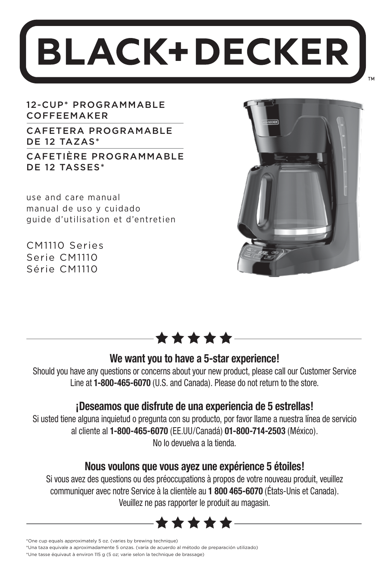# **BLACK+DECKER**

12-CUP\* PROGRAMMABLE COFFEEMAKER

CAFETERA PROGRAMABLE DE 12 TAZAS\*

CAFETIÈRE PROGRAMMABLE DE 12 TASSES\*

use and care manual manual de uso y cuidado guide d'utilisation et d'entretien

CM1110 Series Serie CM1110 Série CM1110





### **We want you to have a 5-star experience!**

Should you have any questions or concerns about your new product, please call our Customer Service Line at **1-800-465-6070** (U.S. and Canada). Please do not return to the store.

### **¡Deseamos que disfrute de una experiencia de 5 estrellas!**

Si usted tiene alguna inquietud o pregunta con su producto, por favor llame a nuestra línea de servicio al cliente al **1-800-465-6070** (EE.UU/Canadá) **01-800-714-2503** (México). No lo devuelva a la tienda.

### **Nous voulons que vous ayez une expérience 5 étoiles!**

Si vous avez des questions ou des préoccupations à propos de votre nouveau produit, veuillez communiquer avec notre Service à la clientèle au **1 800 465-6070** (États-Unis et Canada). Veuillez ne pas rapporter le produit au magasin.



<sup>\*</sup>One cup equals approximately 5 oz. (varies by brewing technique)

\*Una taza equivale a aproximadamente 5 onzas. (varía de acuerdo al método de preparación utilizado)

\*Une tasse équivaut à environ 115 g (5 oz; varie selon la technique de brassage)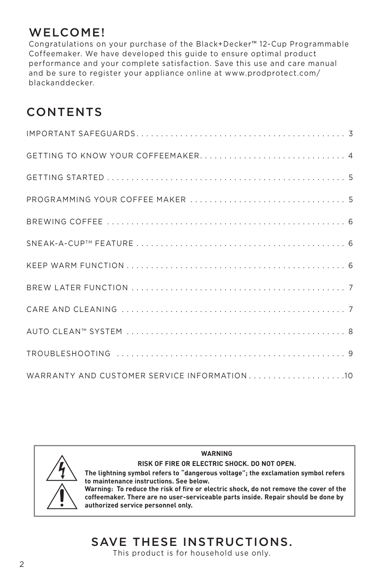### WELCOME!

Congratulations on your purchase of the Black+Decker™ 12-Cup Programmable Coffeemaker. We have developed this guide to ensure optimal product performance and your complete satisfaction. Save this use and care manual and be sure to register your appliance online at www.prodprotect.com/ blackanddecker.

### CONTENTS

| WARRANTY AND CUSTOMER SERVICE INFORMATION10 |
|---------------------------------------------|



**RISK OF FIRE OR ELECTRIC SHOCK. DO NOT OPEN. The lightning symbol refers to "dangerous voltage"; the exclamation symbol refers to maintenance instructions. See below. Warning: To reduce the risk of fire or electric shock, do not remove the cover of the coffeemaker. There are no user-serviceable parts inside. Repair should be done by authorized service personnel only.**

**WARNING**

# SAVE THESE INSTRUCTIONS.

This product is for household use only.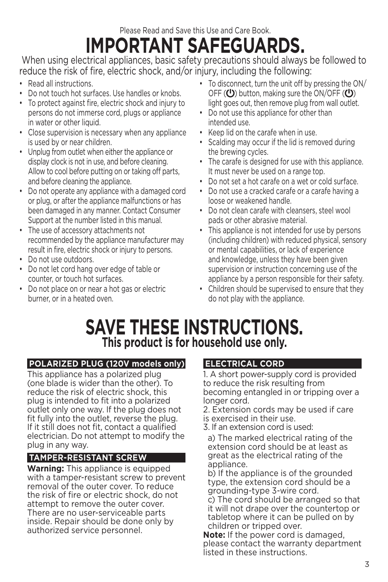Please Read and Save this Use and Care Book.

# **IMPORTANT SAFEGUARDS.**

 When using electrical appliances, basic safety precautions should always be followed to reduce the risk of fire, electric shock, and/or injury, including the following:

- Read all instructions.
- Do not touch hot surfaces. Use handles or knobs.
- To protect against fire, electric shock and injury to persons do not immerse cord, plugs or appliance in water or other liquid.
- Close supervision is necessary when any appliance is used by or near children.
- Unplug from outlet when either the appliance or display clock is not in use, and before cleaning. Allow to cool before putting on or taking off parts, and before cleaning the appliance.
- Do not operate any appliance with a damaged cord or plug, or after the appliance malfunctions or has been damaged in any manner. Contact Consumer Support at the number listed in this manual.
- The use of accessory attachments not recommended by the appliance manufacturer may result in fire, electric shock or injury to persons.
- Do not use outdoors.
- Do not let cord hang over edge of table or counter, or touch hot surfaces.
- Do not place on or near a hot gas or electric burner, or in a heated oven.
- To disconnect, turn the unit off by pressing the ON/ OFF  $(U)$  button, making sure the ON/OFF  $(U)$ light goes out, then remove plug from wall outlet.
- Do not use this appliance for other than intended use.
- Keep lid on the carafe when in use.
- Scalding may occur if the lid is removed during the brewing cycles.
- The carafe is designed for use with this appliance. It must never be used on a range top.
- Do not set a hot carafe on a wet or cold surface.
- Do not use a cracked carafe or a carafe having a loose or weakened handle.
- Do not clean carafe with cleansers, steel wool pads or other abrasive material.
- This appliance is not intended for use by persons (including children) with reduced physical, sensory or mental capabilities, or lack of experience and knowledge, unless they have been given supervision or instruction concerning use of the appliance by a person responsible for their safety.
- Children should be supervised to ensure that they do not play with the appliance.

# **SAVE THESE INSTRUCTIONS. This product is for household use only.**

#### **POLARIZED PLUG (120V models only)**

This appliance has a polarized plug (one blade is wider than the other). To reduce the risk of electric shock, this plug is intended to fit into a polarized outlet only one way. If the plug does not fit fully into the outlet, reverse the plug. If it still does not fit, contact a qualified electrician. Do not attempt to modify the plug in any way.

#### **TAMPER-RESISTANT SCREW**

**Warning:** This appliance is equipped with a tamper-resistant screw to prevent removal of the outer cover. To reduce the risk of fire or electric shock, do not attempt to remove the outer cover. There are no user-serviceable parts inside. Repair should be done only by authorized service personnel.

#### **ELECTRICAL CORD**

1. A short power-supply cord is provided to reduce the risk resulting from becoming entangled in or tripping over a longer cord.

- 2. Extension cords may be used if care is exercised in their use.
- 3. If an extension cord is used:

 a) The marked electrical rating of the extension cord should be at least as great as the electrical rating of the appliance.

 b) If the appliance is of the grounded type, the extension cord should be a grounding-type 3-wire cord.

 c) The cord should be arranged so that it will not drape over the countertop or tabletop where it can be pulled on by children or tripped over.

**Note:** If the power cord is damaged, please contact the warranty department listed in these instructions.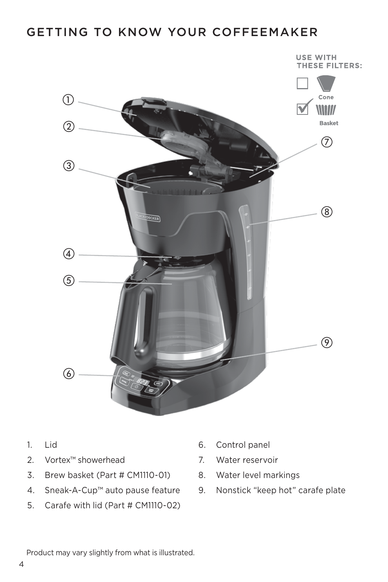### GETTING TO KNOW YOUR COFFEEMAKER



- $1.$   $|id$
- 2. Vortex™ showerhead
- 3. Brew basket (Part # CM1110-01)
- 4. Sneak-A-Cup™ auto pause feature
- 5. Carafe with lid (Part # CM1110-02)
- 6. Control panel
- 7. Water reservoir
- 8. Water level markings
- 9. Nonstick "keep hot" carafe plate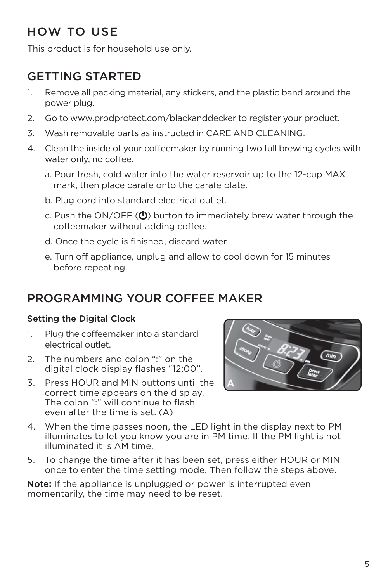### HOW TO USE

This product is for household use only.

### GETTING STARTED

- 1. Remove all packing material, any stickers, and the plastic band around the power plug.
- 2. Go to www.prodprotect.com/blackanddecker to register your product.
- 3. Wash removable parts as instructed in CARE AND CLEANING.
- 4. Clean the inside of your coffeemaker by running two full brewing cycles with water only, no coffee.
	- a. Pour fresh, cold water into the water reservoir up to the 12-cup MAX mark, then place carafe onto the carafe plate.
	- b. Plug cord into standard electrical outlet.
	- c. Push the ON/OFF  $(U)$  button to immediately brew water through the coffeemaker without adding coffee.
	- d. Once the cycle is finished, discard water.
	- e. Turn off appliance, unplug and allow to cool down for 15 minutes before repeating.

### PROGRAMMING YOUR COFFEE MAKER

#### Setting the Digital Clock

- 1. Plug the coffeemaker into a standard electrical outlet.
- 2. The numbers and colon ":" on the digital clock display flashes "12:00".
- 3. Press HOUR and MIN buttons until the correct time appears on the display. The colon "" will continue to flash even after the time is set. (A)



- 4. When the time passes noon, the LED light in the display next to PM illuminates to let you know you are in PM time. If the PM light is not illuminated it is AM time.
- 5. To change the time after it has been set, press either HOUR or MIN once to enter the time setting mode. Then follow the steps above.

**Note:** If the appliance is unplugged or power is interrupted even momentarily, the time may need to be reset.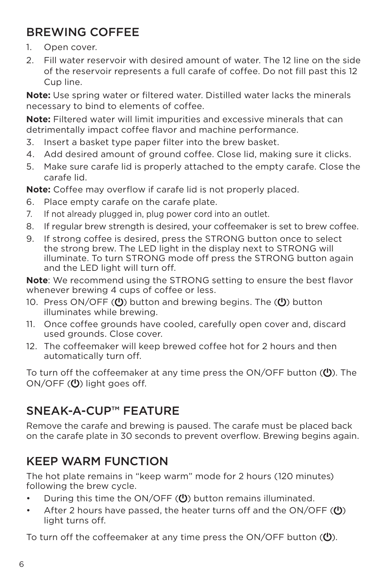### BREWING COFFEE

- 1. Open cover.
- 2. Fill water reservoir with desired amount of water. The 12 line on the side of the reservoir represents a full carafe of coffee. Do not fill past this 12 Cup line.

**Note:** Use spring water or filtered water. Distilled water lacks the minerals necessary to bind to elements of coffee.

**Note:** Filtered water will limit impurities and excessive minerals that can detrimentally impact coffee flavor and machine performance.

- 3. Insert a basket type paper filter into the brew basket.
- 4. Add desired amount of ground coffee. Close lid, making sure it clicks.
- 5. Make sure carafe lid is properly attached to the empty carafe. Close the carafe lid.

**Note:** Coffee may overflow if carafe lid is not properly placed.

- 6. Place empty carafe on the carafe plate.
- 7. If not already plugged in, plug power cord into an outlet.
- 8. If regular brew strength is desired, your coffeemaker is set to brew coffee.
- 9. If strong coffee is desired, press the STRONG button once to select the strong brew. The LED light in the display next to STRONG will illuminate. To turn STRONG mode off press the STRONG button again and the LED light will turn off.

**Note**: We recommend using the STRONG setting to ensure the best flavor whenever brewing 4 cups of coffee or less.

- 10. Press ON/OFF  $\left(\bigcup_{n=1}^{\infty}\right)$  button and brewing begins. The  $\left(\bigcup_{n=1}^{\infty}\right)$  button illuminates while brewing.
- 11. Once coffee grounds have cooled, carefully open cover and, discard used grounds. Close cover.
- 12. The coffeemaker will keep brewed coffee hot for 2 hours and then automatically turn off.

To turn off the coffeemaker at any time press the ON/OFF button  $\mathcal{P}$ ). The  $ON/OFF$  ( $\bigcup$ ) light goes off.

### SNEAK-A-CUP™ FEATURE

Remove the carafe and brewing is paused. The carafe must be placed back on the carafe plate in 30 seconds to prevent overflow. Brewing begins again.

### KEEP WARM FUNCTION

The hot plate remains in "keep warm" mode for 2 hours (120 minutes) following the brew cycle.

- During this time the ON/OFF  $(0)$  button remains illuminated.
- After 2 hours have passed, the heater turns off and the ON/OFF ( $\bigcirc$ ) light turns off.

To turn off the coffeemaker at any time press the ON/OFF button  $(\mathbf{U})$ .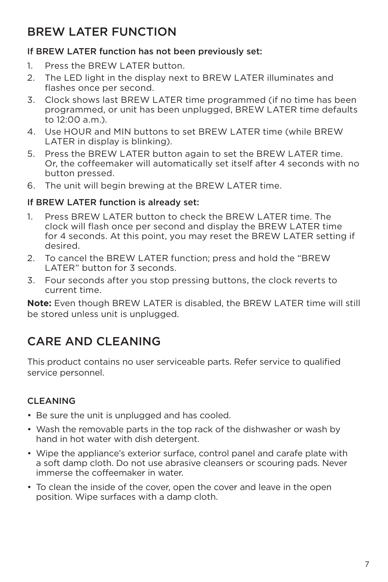### BREW LATER FUNCTION

#### If BREW LATER function has not been previously set:

- 1. Press the BREW LATER button.
- 2. The LED light in the display next to BREW LATER illuminates and flashes once per second.
- 3. Clock shows last BREW LATER time programmed (if no time has been programmed, or unit has been unplugged, BREW LATER time defaults to 12:00 a.m.).
- 4. Use HOUR and MIN buttons to set BREW LATER time (while BREW LATER in display is blinking).
- 5. Press the BREW LATER button again to set the BREW LATER time. Or, the coffeemaker will automatically set itself after 4 seconds with no button pressed.
- 6. The unit will begin brewing at the BREW LATER time.

#### If BREW LATER function is already set:

- 1. Press BREW LATER button to check the BREW LATER time. The clock will flash once per second and display the BREW LATER time for 4 seconds. At this point, you may reset the BREW LATER setting if desired.
- 2. To cancel the BREW LATER function; press and hold the "BREW LATER" button for 3 seconds.
- 3. Four seconds after you stop pressing buttons, the clock reverts to current time.

**Note:** Even though BREW LATER is disabled, the BREW LATER time will still be stored unless unit is unplugged.

### CARE AND CLEANING

This product contains no user serviceable parts. Refer service to qualified service personnel.

#### CLEANING

- Be sure the unit is unplugged and has cooled.
- Wash the removable parts in the top rack of the dishwasher or wash by hand in hot water with dish detergent.
- Wipe the appliance's exterior surface, control panel and carafe plate with a soft damp cloth. Do not use abrasive cleansers or scouring pads. Never immerse the coffeemaker in water.
- To clean the inside of the cover, open the cover and leave in the open position. Wipe surfaces with a damp cloth.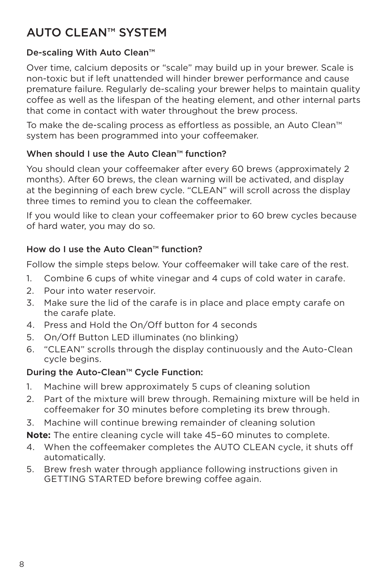### AUTO CLEAN™ SYSTEM

#### De-scaling With Auto Clean™

Over time, calcium deposits or "scale" may build up in your brewer. Scale is non-toxic but if left unattended will hinder brewer performance and cause premature failure. Regularly de-scaling your brewer helps to maintain quality coffee as well as the lifespan of the heating element, and other internal parts that come in contact with water throughout the brew process.

To make the de-scaling process as effortless as possible, an Auto Clean™ system has been programmed into your coffeemaker.

#### When should I use the Auto Clean™ function?

You should clean your coffeemaker after every 60 brews (approximately 2 months). After 60 brews, the clean warning will be activated, and display at the beginning of each brew cycle. "CLEAN" will scroll across the display three times to remind you to clean the coffeemaker.

If you would like to clean your coffeemaker prior to 60 brew cycles because of hard water, you may do so.

#### How do I use the Auto Clean™ function?

Follow the simple steps below. Your coffeemaker will take care of the rest.

- 1. Combine 6 cups of white vinegar and 4 cups of cold water in carafe.
- 2. Pour into water reservoir.
- 3. Make sure the lid of the carafe is in place and place empty carafe on the carafe plate.
- 4. Press and Hold the On/Off button for 4 seconds
- 5. On/Off Button LED illuminates (no blinking)
- 6. "CLEAN" scrolls through the display continuously and the Auto-Clean cycle begins.

#### During the Auto-Clean™ Cycle Function:

- 1. Machine will brew approximately 5 cups of cleaning solution
- 2. Part of the mixture will brew through. Remaining mixture will be held in coffeemaker for 30 minutes before completing its brew through.
- 3. Machine will continue brewing remainder of cleaning solution
- **Note:** The entire cleaning cycle will take 45–60 minutes to complete.
- 4. When the coffeemaker completes the AUTO CLEAN cycle, it shuts off automatically.
- 5. Brew fresh water through appliance following instructions given in GETTING STARTED before brewing coffee again.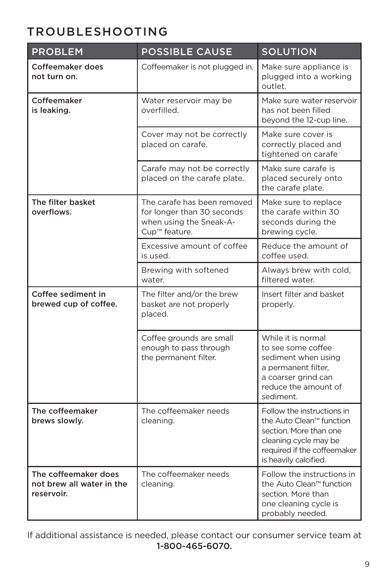### TROUBLESHOOTING

| <b>PROBLEM</b>                                                  | <b>POSSIBLE CAUSE</b>                                                                                 | <b>SOLUTION</b>                                                                                                                                                   |
|-----------------------------------------------------------------|-------------------------------------------------------------------------------------------------------|-------------------------------------------------------------------------------------------------------------------------------------------------------------------|
| Coffeemaker does<br>not turn on.                                | Coffeemaker is not plugged in.                                                                        | Make sure appliance is<br>plugged into a working<br>outlet.                                                                                                       |
| Coffeemaker<br>is leaking.                                      | Water reservoir may be<br>overfilled.                                                                 | Make sure water reservoir<br>has not been filled<br>beyond the 12-cup line.                                                                                       |
|                                                                 | Cover may not be correctly<br>placed on carafe.                                                       | Make sure cover is<br>correctly placed and<br>tightened on carafe                                                                                                 |
|                                                                 | Carafe may not be correctly<br>placed on the carafe plate.                                            | Make sure carafe is<br>placed securely onto<br>the carafe plate.                                                                                                  |
| The filter basket<br>overflows.                                 | The carafe has been removed<br>for longer than 30 seconds<br>when using the Sneak-A-<br>Cup™ feature. | Make sure to replace<br>the carafe within 30<br>seconds during the<br>brewing cycle.                                                                              |
|                                                                 | Excessive amount of coffee<br>is used.                                                                | Reduce the amount of<br>coffee used.                                                                                                                              |
|                                                                 | Brewing with softened<br>water.                                                                       | Always brew with cold,<br>filtered water.                                                                                                                         |
| Coffee sediment in<br>brewed cup of coffee.                     | The filter and/or the brew<br>basket are not properly<br>placed.                                      | Insert filter and basket<br>properly.                                                                                                                             |
|                                                                 | Coffee grounds are small<br>enough to pass through<br>the permanent filter.                           | While it is normal<br>to see some coffee<br>sediment when using<br>a permanent filter,<br>a coarser grind can<br>reduce the amount of<br>sediment.                |
| The coffeemaker<br>brews slowly.                                | The coffeemaker needs<br>cleaning.                                                                    | Follow the instructions in<br>the Auto Clean™ function<br>section. More than one<br>cleaning cycle may be<br>required if the coffeemaker<br>is heavily calcified. |
| The coffeemaker does<br>not brew all water in the<br>reservoir. | The coffeemaker needs<br>cleaning.                                                                    | Follow the instructions in<br>the Auto Clean™ function<br>section. More than<br>one cleaning cycle is<br>probably needed.                                         |

If additional assistance is needed, please contact our consumer service team at 1-800-465-6070.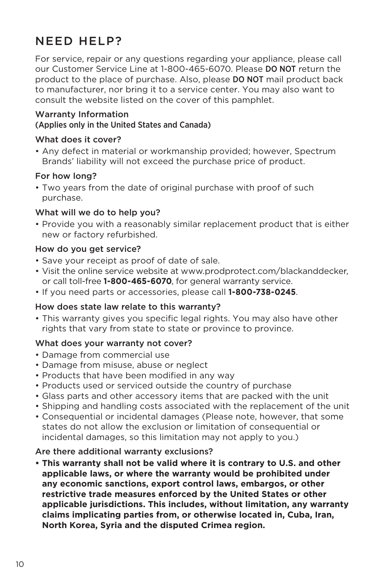### NEED HELP?

For service, repair or any questions regarding your appliance, please call our Customer Service Line at 1-800-465-6070. Please DO NOT return the product to the place of purchase. Also, please DO NOT mail product back to manufacturer, nor bring it to a service center. You may also want to consult the website listed on the cover of this pamphlet.

#### Warranty Information

#### (Applies only in the United States and Canada)

#### What does it cover?

• Any defect in material or workmanship provided; however, Spectrum Brands' liability will not exceed the purchase price of product.

#### For how long?

• Two years from the date of original purchase with proof of such purchase.

#### What will we do to help you?

• Provide you with a reasonably similar replacement product that is either new or factory refurbished.

#### How do you get service?

- Save your receipt as proof of date of sale.
- Visit the online service website at www.prodprotect.com/blackanddecker, or call toll-free **1-800-465-6070**, for general warranty service.
- If you need parts or accessories, please call **1-800-738-0245**.

#### How does state law relate to this warranty?

• This warranty gives you specific legal rights. You may also have other rights that vary from state to state or province to province.

#### What does your warranty not cover?

- Damage from commercial use
- Damage from misuse, abuse or neglect
- Products that have been modified in any way
- Products used or serviced outside the country of purchase
- Glass parts and other accessory items that are packed with the unit
- Shipping and handling costs associated with the replacement of the unit
- Consequential or incidental damages (Please note, however, that some states do not allow the exclusion or limitation of consequential or incidental damages, so this limitation may not apply to you.)

#### Are there additional warranty exclusions?

**• This warranty shall not be valid where it is contrary to U.S. and other applicable laws, or where the warranty would be prohibited under any economic sanctions, export control laws, embargos, or other restrictive trade measures enforced by the United States or other applicable jurisdictions. This includes, without limitation, any warranty claims implicating parties from, or otherwise located in, Cuba, Iran, North Korea, Syria and the disputed Crimea region.**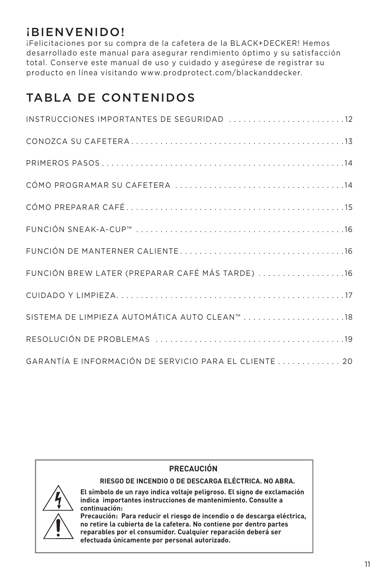### ¡BIENVENIDO!

¡Felicitaciones por su compra de la cafetera de la BLACK+DECKER! Hemos desarrollado este manual para asegurar rendimiento óptimo y su satisfacción total. Conserve este manual de uso y cuidado y asegúrese de registrar su producto en línea visitando www.prodprotect.com/blackanddecker.

### TABLA DE CONTENIDOS

| INSTRUCCIONES IMPORTANTES DE SEGURIDAD 12              |
|--------------------------------------------------------|
|                                                        |
|                                                        |
|                                                        |
|                                                        |
|                                                        |
|                                                        |
| FUNCIÓN BREW LATER (PREPARAR CAFÉ MÁS TARDE) 16        |
|                                                        |
|                                                        |
|                                                        |
| GARANTÍA E INFORMACIÓN DE SERVICIO PARA EL CLIENTE  20 |



### **PRECAUCIÓN**

**RIESGO DE INCENDIO O DE DESCARGA ELÉCTRICA. NO ABRA.**

**El símbolo de un rayo indica voltaje peligroso. El signo de exclamación indica importantes instrucciones de mantenimiento. Consulte a continuación:**

**Precaución: Para reducir el riesgo de incendio o de descarga eléctrica, no retire la cubierta de la cafetera. No contiene por dentro partes reparables por el consumidor. Cualquier reparación deberá ser efectuada únicamente por personal autorizado.**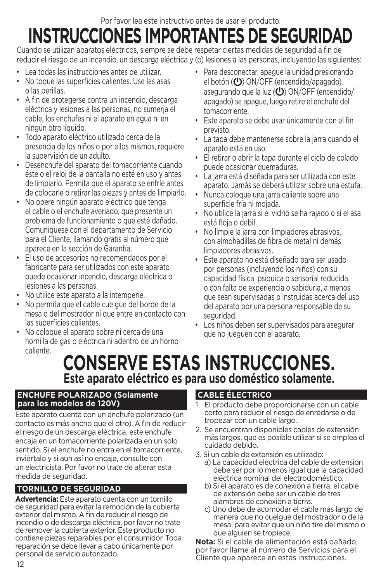Por favor lea este instructivo antes de usar el producto.

# **INSTRUCCIONES IMPORTANTES DE SEGURIDAD**

Cuando se utilizan aparatos eléctricos, siempre se debe respetar ciertas medidas de seguridad a fin de reducir el riesgo de un incendio, un descarga eléctrica y (o) lesiones a las personas, incluyendo las siguientes:

- Lea todas las instrucciones antes de utilizar.
- No toque las superficies calientes. Use las asas o las perillas.
- A fin de protegerse contra un incendio, descarga eléctrica y lesiones a las personas, no sumerja el cable, los enchufes ni el aparato en agua ni en ningún otro líquido.
- Todo aparato eléctrico utilizado cerca de la presencia de los niños o por ellos mismos, requiere la supervisión de un adulto.
- Desenchufe del aparato del tomacorriente cuando éste o el reloj de la pantalla no esté en uso y antes de limpiarlo. Permita que el aparato se enfríe antes de colocarle o retirar las piezas y antes de limpiarlo.
- No opere ningún aparato eléctrico que tenga el cable o el enchufe averiado, que presente un problema de funcionamiento o que esté dañado. Comuníquese con el departamento de Servicio para el Cliente, llamando gratis al número que aparece en la sección de Garantía.
- El uso de accesorios no recomendados por el fabricante para ser utilizados con este aparato puede ocasionar incendio, descarga eléctrica o lesiones a las personas.
- No utilice este aparato a la intemperie.
- No permita que el cable cuelgue del borde de la mesa o del mostrador ni que entre en contacto con las superficies calientes.
- No coloque el aparato sobre ni cerca de una hornilla de gas o eléctrica ni adentro de un horno caliente.
- Para desconectar, apague la unidad presionando el botón  $(U)$  ON/OFF (encendido/apagado), asegurando que la luz  $\left(\bigcup_{n=1}^{\infty} O\right)$  ON/OFF (encendido/ apagado) se apague, luego retire el enchufe del tomacorriente.
- Este aparato se debe usar únicamente con el fin previsto.
- La tapa debe mantenerse sobre la jarra cuando el aparato está en uso.
- El retirar o abrir la tapa durante el ciclo de colado puede ocasionar quemaduras.
- La jarra está diseñada para ser utilizada con este aparato. Jamás se deberá utilizar sobre una estufa.
- Nunca coloque una jarra caliente sobre una superficie fría ni mojada.
- No utilice la jarra si el vidrio se ha rajado o si el asa está floja o débil.
- No limpie la jarra con limpiadores abrasivos, con almohadillas de fibra de metal ni demás limpiadores abrasivos.
- Este aparato no está diseñado para ser usado por personas (incluyendo los niños) con su capacidad física, psíquica o sensorial reducida, o con falta de experiencia o sabiduria, a menos que sean supervisadas o instruidas acerca del uso del aparato por una persona responsable de su seguridad.
- Los niños deben ser supervisados para asegurar que no jueguen con el aparato.

# **CONSERVE ESTAS INSTRUCCIONES. Este aparato eléctrico es para uso doméstico solamente.**

#### **ENCHUFE POLARIZADO (Solamente para los modelos de 120V)**

Este aparato cuenta con un enchufe polarizado (un contacto es más ancho que el otro). A fin de reducir el riesgo de un descarga eléctrica, este enchufe encaja en un tomacorriente polarizada en un solo sentido. Si el enchufe no entra en el tomacorriente, inviértalo y si aun así no encaja, consulte con un electricista. Por favor no trate de alterar esta medida de seguridad.

#### **TORNILLO DE SEGURIDAD**

**Advertencia:** Este aparato cuenta con un tornillo de seguridad para evitar la remoción de la cubierta exterior del mismo. A fin de reducir el riesgo de incendio o de descarga eléctrica, por favor no trate de remover la cubierta exterior. Este producto no contiene piezas reparables por el consumidor. Toda reparación se debe llevar a cabo únicamente por personal de servicio autorizado.

#### **CABLE ÉLECTRICO**

- 1. El producto debe proporcionarse con un cable corto para reducir el riesgo de enredarse o de tropezar con un cable largo.
- 2. Se encuentran disponibles cables de extensión más largos, que es posible utilizar si se emplea el cuidado debido.
- 3. Si un cable de extensión es utilizado:
	- a) La capacidad eléctrica del cable de extensión debe ser por lo menos igual que la capacidad eléctrica nominal del electrodoméstico.
	- b) Si el aparato es de conexión a tierra, el cable de extensión debe ser un cable de tres alambres de conexión a tierra.
	- c) Uno debe de acomodar el cable más largo de manera que no cuelgue del mostrador o de la mesa, para evitar que un niño tire del mismo o que alguien se tropiece.

**Nota:** Si el cable de alimentación está dañado, por favor llame al número de Servicios para el Cliente que aparece en estas instrucciones.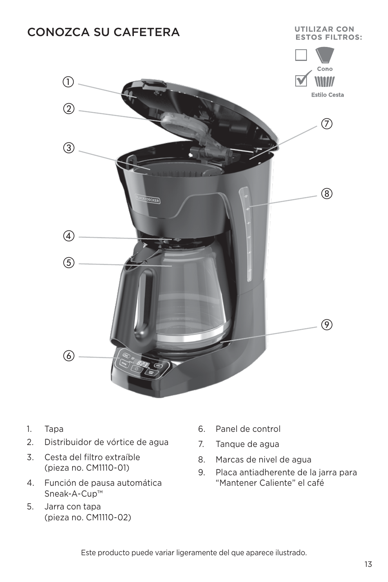

- 1. Tapa
- 2. Distribuidor de vórtice de agua
- 3. Cesta del filtro extraíble (pieza no. CM1110-01)
- 4. Función de pausa automática Sneak-A-Cup™
- 5. Jarra con tapa (pieza no. CM1110-02)
- 6. Panel de control
- 7. Tanque de agua
- 8. Marcas de nivel de agua
- 9. Placa antiadherente de la jarra para "Mantener Caliente" el café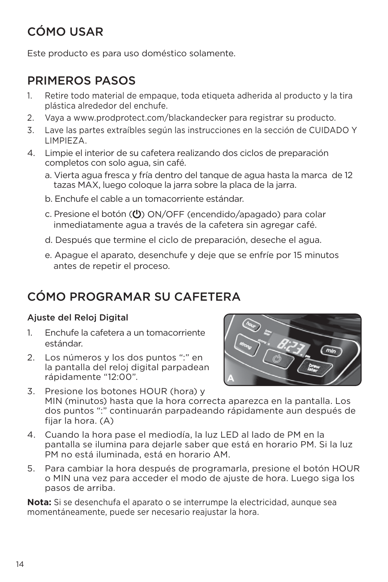### CÓMO USAR

Este producto es para uso doméstico solamente.

### PRIMEROS PASOS

- 1. Retire todo material de empaque, toda etiqueta adherida al producto y la tira plástica alrededor del enchufe.
- 2. Vaya a www.prodprotect.com/blackandecker para registrar su producto.
- 3. Lave las partes extraíbles según las instrucciones en la sección de CUIDADO Y LIMPIEZA.
- 4. Limpie el interior de su cafetera realizando dos ciclos de preparación completos con solo agua, sin café.
	- a. Vierta agua fresca y fría dentro del tanque de agua hasta la marca de 12 tazas MAX, luego coloque la jarra sobre la placa de la jarra.
	- b. Enchufe el cable a un tomacorriente estándar.
	- c. Presione el botón ( $\bigcup$ ) ON/OFF (encendido/apagado) para colar inmediatamente agua a través de la cafetera sin agregar café.
	- d. Después que termine el ciclo de preparación, deseche el agua.
	- e. Apague el aparato, desenchufe y deje que se enfríe por 15 minutos antes de repetir el proceso.

### CÓMO PROGRAMAR SU CAFETERA

#### Ajuste del Reloj Digital

- 1. Enchufe la cafetera a un tomacorriente estándar.
- 2. Los números y los dos puntos ":" en la pantalla del reloj digital parpadean rápidamente "12:00".



- 3. Presione los botones HOUR (hora) y MIN (minutos) hasta que la hora correcta aparezca en la pantalla. Los dos puntos ":" continuarán parpadeando rápidamente aun después de fijar la hora. (A)
- 4. Cuando la hora pase el mediodía, la luz LED al lado de PM en la pantalla se ilumina para dejarle saber que está en horario PM. Si la luz PM no está iluminada, está en horario AM.
- 5. Para cambiar la hora después de programarla, presione el botón HOUR o MIN una vez para acceder el modo de ajuste de hora. Luego siga los pasos de arriba.

**Nota:** Si se desenchufa el aparato o se interrumpe la electricidad, aunque sea momentáneamente, puede ser necesario reajustar la hora.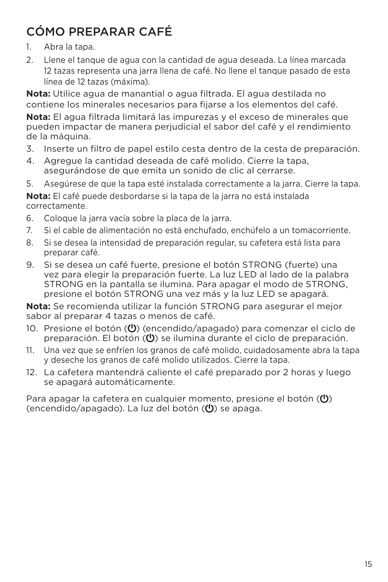### CÓMO PREPARAR CAFÉ

- 1. Abra la tapa.
- 2. Llene el tanque de agua con la cantidad de agua deseada. La línea marcada 12 tazas representa una jarra llena de café. No llene el tanque pasado de esta línea de 12 tazas (máxima).

**Nota:** Utilice agua de manantial o agua filtrada. El agua destilada no contiene los minerales necesarios para fijarse a los elementos del café.

**Nota:** El agua filtrada limitará las impurezas y el exceso de minerales que pueden impactar de manera perjudicial el sabor del café y el rendimiento de la máquina.

- 3. Inserte un filtro de papel estilo cesta dentro de la cesta de preparación.
- 4. Agregue la cantidad deseada de café molido. Cierre la tapa, asegurándose de que emita un sonido de clic al cerrarse.
- 5. Asegúrese de que la tapa esté instalada correctamente a la jarra. Cierre la tapa.

**Nota:** El café puede desbordarse si la tapa de la jarra no está instalada correctamente.

- 6. Coloque la jarra vacía sobre la placa de la jarra.
- 7. Si el cable de alimentación no está enchufado, enchúfelo a un tomacorriente.
- 8. Si se desea la intensidad de preparación regular, su cafetera está lista para preparar café.
- 9. Si se desea un café fuerte, presione el botón STRONG (fuerte) una vez para elegir la preparación fuerte. La luz LED al lado de la palabra STRONG en la pantalla se ilumina. Para apagar el modo de STRONG, presione el botón STRONG una vez más y la luz LED se apagará.

**Nota:** Se recomienda utilizar la función STRONG para asegurar el mejor sabor al preparar 4 tazas o menos de café.

- 10. Presione el botón  $(U)$  (encendido/apagado) para comenzar el ciclo de preparación. El botón  $\left(\bigcup_{i=1}^{n} a_i\right)$  se ilumina durante el ciclo de preparación.
- 11. Una vez que se enfríen los granos de café molido, cuidadosamente abra la tapa y deseche los granos de café molido utilizados. Cierre la tapa.
- 12. La cafetera mantendrá caliente el café preparado por 2 horas y luego se apagará automáticamente.

Para apagar la cafetera en cualquier momento, presione el botón  $\left(\bigcup_{i=1}^{n} A_i\right)$ (encendido/apagado). La luz del botón  $(\bigcup)$  se apaga.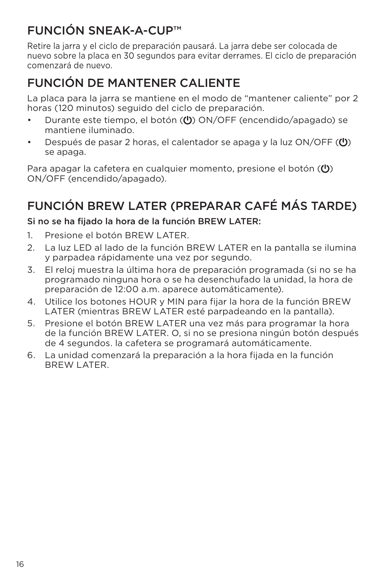### FUNCIÓN SNEAK-A-CUP™

Retire la jarra y el ciclo de preparación pausará. La jarra debe ser colocada de nuevo sobre la placa en 30 segundos para evitar derrames. El ciclo de preparación comenzará de nuevo.

### FUNCIÓN DE MANTENER CALIENTE

La placa para la jarra se mantiene en el modo de "mantener caliente" por 2 horas (120 minutos) seguido del ciclo de preparación.

- Durante este tiempo, el botón ((<sup>I</sup>)) ON/OFF (encendido/apagado) se mantiene iluminado.
- Después de pasar 2 horas, el calentador se apaga y la luz  $ON/OFF$  ( $\bigcirc$ ) se apaga.

Para apagar la cafetera en cualquier momento, presione el botón  $\langle 0 \rangle$ ON/OFF (encendido/apagado).

### FUNCIÓN BREW LATER (PREPARAR CAFÉ MÁS TARDE)

#### Si no se ha fijado la hora de la función BREW LATER:

- 1. Presione el botón BREW LATER.
- 2. La luz LED al lado de la función BREW LATER en la pantalla se ilumina y parpadea rápidamente una vez por segundo.
- 3. El reloj muestra la última hora de preparación programada (si no se ha programado ninguna hora o se ha desenchufado la unidad, la hora de preparación de 12:00 a.m. aparece automáticamente).
- 4. Utilice los botones HOUR y MIN para fijar la hora de la función BREW LATER (mientras BREW LATER esté parpadeando en la pantalla).
- 5. Presione el botón BREW LATER una vez más para programar la hora de la función BREW LATER. O, si no se presiona ningún botón después de 4 segundos. la cafetera se programará automáticamente.
- 6. La unidad comenzará la preparación a la hora fijada en la función BREW LATER.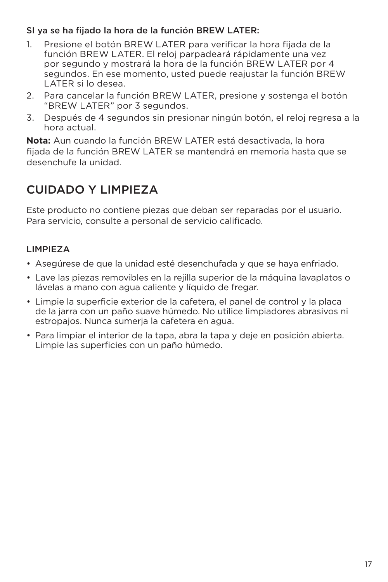#### SI ya se ha fijado la hora de la función BREW LATER:

- 1. Presione el botón BREW LATER para verificar la hora fijada de la función BREW LATER. El reloj parpadeará rápidamente una vez por segundo y mostrará la hora de la función BREW LATER por 4 segundos. En ese momento, usted puede reajustar la función BREW LATER si lo desea.
- 2. Para cancelar la función BREW LATER, presione y sostenga el botón "BREW LATER" por 3 segundos.
- 3. Después de 4 segundos sin presionar ningún botón, el reloj regresa a la hora actual.

**Nota:** Aun cuando la función BREW LATER está desactivada, la hora fijada de la función BREW LATER se mantendrá en memoria hasta que se desenchufe la unidad.

### CUIDADO Y LIMPIEZA

Este producto no contiene piezas que deban ser reparadas por el usuario. Para servicio, consulte a personal de servicio calificado.

#### LIMPIEZA

- Asegúrese de que la unidad esté desenchufada y que se haya enfriado.
- Lave las piezas removibles en la rejilla superior de la máquina lavaplatos o lávelas a mano con agua caliente y líquido de fregar.
- Limpie la superficie exterior de la cafetera, el panel de control y la placa de la jarra con un paño suave húmedo. No utilice limpiadores abrasivos ni estropajos. Nunca sumerja la cafetera en agua.
- Para limpiar el interior de la tapa, abra la tapa y deje en posición abierta. Limpie las superficies con un paño húmedo.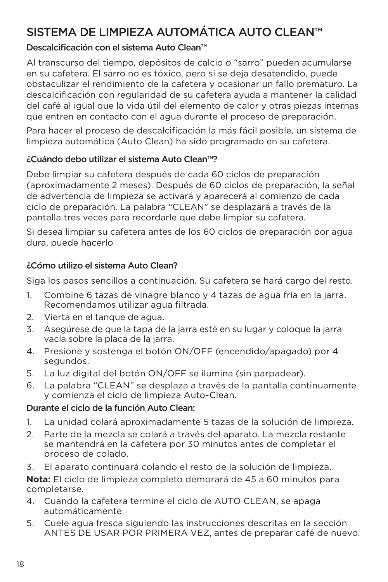### SISTEMA DE LIMPIEZA AUTOMÁTICA AUTO CI FAN™

#### Descalcificación con el sistema Auto Clean™

Al transcurso del tiempo, depósitos de calcio o "sarro" pueden acumularse en su cafetera. El sarro no es tóxico, pero si se deja desatendido, puede obstaculizar el rendimiento de la cafetera y ocasionar un fallo prematuro. La descalcificación con regularidad de su cafetera ayuda a mantener la calidad del café al igual que la vida útil del elemento de calor y otras piezas internas que entren en contacto con el agua durante el proceso de preparación.

Para hacer el proceso de descalcificación la más fácil posible, un sistema de limpieza automática (Auto Clean) ha sido programado en su cafetera.

#### ¿Cuándo debo utilizar el sistema Auto Clean™?

Debe limpiar su cafetera después de cada 60 ciclos de preparación (aproximadamente 2 meses). Después de 60 ciclos de preparación, la señal de advertencia de limpieza se activará y aparecerá al comienzo de cada ciclo de preparación. La palabra "CLEAN" se desplazará a través de la pantalla tres veces para recordarle que debe limpiar su cafetera.

Si desea limpiar su cafetera antes de los 60 ciclos de preparación por agua dura, puede hacerlo..

#### ¿Cómo utilizo el sistema Auto Clean?

Siga los pasos sencillos a continuación. Su cafetera se hará cargo del resto.

- 1. Combine 6 tazas de vinagre blanco y 4 tazas de agua fría en la jarra. Recomendamos utilizar agua filtrada.
- 2. Vierta en el tanque de agua.
- 3. Asegúrese de que la tapa de la jarra esté en su lugar y coloque la jarra vacía sobre la placa de la jarra.
- 4. Presione y sostenga el botón ON/OFF (encendido/apagado) por 4 segundos.
- 5. La luz digital del botón ON/OFF se ilumina (sin parpadear).
- 6. La palabra "CLEAN" se desplaza a través de la pantalla continuamente y comienza el ciclo de limpieza Auto-Clean.

#### Durante el ciclo de la función Auto Clean:

- 1. La unidad colará aproximadamente 5 tazas de la solución de limpieza.
- 2. Parte de la mezcla se colará a través del aparato. La mezcla restante se mantendrá en la cafetera por 30 minutos antes de completar el proceso de colado.
- 3. El aparato continuará colando el resto de la solución de limpieza.

**Nota:** El ciclo de limpieza completo demorará de 45 a 60 minutos para completarse.

- 4. Cuando la cafetera termine el ciclo de AUTO CLEAN, se apaga automáticamente.
- 5. Cuele agua fresca siguiendo las instrucciones descritas en la sección ANTES DE USAR POR PRIMERA VEZ, antes de preparar café de nuevo.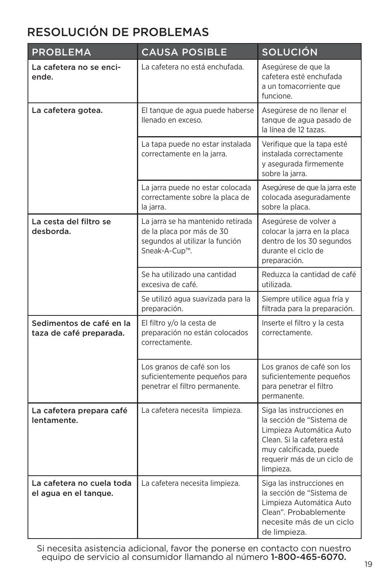### RESOLUCIÓN DE PROBLEMAS

| <b>PROBLEMA</b>                                     | <b>CAUSA POSIBLE</b>                                                                                               | <b>SOLUCIÓN</b>                                                                                                                                                                        |
|-----------------------------------------------------|--------------------------------------------------------------------------------------------------------------------|----------------------------------------------------------------------------------------------------------------------------------------------------------------------------------------|
| La cafetera no se enci-<br>ende.                    | La cafetera no está enchufada.                                                                                     | Asegúrese de que la<br>cafetera esté enchufada<br>a un tomacorriente que<br>funcione.                                                                                                  |
| La cafetera gotea.                                  | El tanque de agua puede haberse<br>llenado en exceso.                                                              | Asegúrese de no llenar el<br>tanque de agua pasado de<br>la línea de 12 tazas.                                                                                                         |
|                                                     | La tapa puede no estar instalada<br>correctamente en la jarra.                                                     | Verifique que la tapa esté<br>instalada correctamente<br>y asegurada firmemente<br>sobre la jarra.                                                                                     |
|                                                     | La jarra puede no estar colocada<br>correctamente sobre la placa de<br>la jarra.                                   | Asegúrese de que la jarra este<br>colocada aseguradamente<br>sobre la placa.                                                                                                           |
| La cesta del filtro se<br>desborda.                 | La jarra se ha mantenido retirada<br>de la placa por más de 30<br>segundos al utilizar la función<br>Sneak-A-Cup™. | Asegúrese de volver a<br>colocar la jarra en la placa<br>dentro de los 30 segundos<br>durante el ciclo de<br>preparación.                                                              |
|                                                     | Se ha utilizado una cantidad<br>excesiva de café.                                                                  | Reduzca la cantidad de café<br>utilizada.                                                                                                                                              |
|                                                     | Se utilizó agua suavizada para la<br>preparación.                                                                  | Siempre utilice agua fría y<br>filtrada para la preparación.                                                                                                                           |
| Sedimentos de café en la<br>taza de café preparada. | El filtro y/o la cesta de<br>preparación no están colocados<br>correctamente.                                      | Inserte el filtro y la cesta<br>correctamente.                                                                                                                                         |
|                                                     | Los granos de café son los<br>suficientemente pequeños para<br>penetrar el filtro permanente.                      | Los granos de café son los<br>suficientemente pequeños<br>para penetrar el filtro<br>permanente.                                                                                       |
| La cafetera prepara café<br>lentamente.             | La cafetera necesita limpieza.                                                                                     | Siga las instrucciones en<br>la sección de "Sistema de<br>Limpieza Automática Auto<br>Clean. Si la cafetera está<br>muy calcificada, puede<br>requerir más de un ciclo de<br>limpieza. |
| La cafetera no cuela toda<br>el agua en el tanque.  | La cafetera necesita limpieza.                                                                                     | Siga las instrucciones en<br>la sección de "Sistema de<br>Limpieza Automática Auto<br>Clean". Probablemente<br>necesite más de un ciclo<br>de limpieza.                                |

Si necesita asistencia adicional, favor the ponerse en contacto con nuestro equipo de servicio al consumidor llamando al número 1-800-465-6070.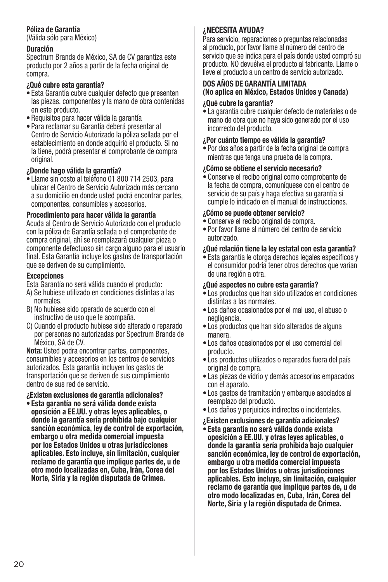#### Póliza de Garantía

(Válida sólo para México)

#### Duración

Spectrum Brands de México, SA de CV garantiza este producto por 2 años a partir de la fecha original de compra.

#### ¿Qué cubre esta garantía?

- Esta Garantía cubre cualquier defecto que presenten las piezas, componentes y la mano de obra contenidas en este producto.
- Requisitos para hacer válida la garantía
- Para reclamar su Garantía deberá presentar al Centro de Servicio Autorizado la póliza sellada por el establecimiento en donde adquirió el producto. Si no la tiene, podrá presentar el comprobante de compra original.

#### ¿Donde hago válida la garantía?

• Llame sin costo al teléfono 01 800 714 2503, para ubicar el Centro de Servicio Autorizado más cercano a su domicilio en donde usted podrá encontrar partes, componentes, consumibles y accesorios.

#### Procedimiento para hacer válida la garantía

Acuda al Centro de Servicio Autorizado con el producto con la póliza de Garantía sellada o el comprobante de compra original, ahí se reemplazará cualquier pieza o componente defectuoso sin cargo alguno para el usuario final. Esta Garantía incluye los gastos de transportación que se deriven de su cumplimiento.

#### **Excepciones**

Esta Garantía no será válida cuando el producto:

- A) Se hubiese utilizado en condiciones distintas a las normales.
- B) No hubiese sido operado de acuerdo con el instructivo de uso que le acompaña.
- C) Cuando el producto hubiese sido alterado o reparado por personas no autorizadas por Spectrum Brands de México, SA de CV.

Nota: Usted podra encontrar partes, componentes, consumibles y accesorios en los centros de servicios autorizados. Esta garantía incluyen los gastos de transportación que se deriven de sus cumplimiento dentro de sus red de servicio.

¿Existen exclusiones de garantía adicionales?

• Esta garantía no será válida donde exista oposición a EE.UU. y otras leyes aplicables, o donde la garantía sería prohibida bajo cualquier sanción económica, ley de control de exportación, embargo u otra medida comercial impuesta por los Estados Unidos u otras jurisdicciones aplicables. Esto incluye, sin limitación, cualquier reclamo de garantía que implique partes de, u de otro modo localizadas en, Cuba, Irán, Corea del Norte, Siria y la región disputada de Crimea.

#### **¿NECESITA AYUDA?**

Para servicio, reparaciones o preguntas relacionadas al producto, por favor llame al número del centro de servicio que se indica para el país donde usted compró su producto. NO devuélva el producto al fabricante. Llame o lleve el producto a un centro de servicio autorizado.

#### DOS AÑOS DE GARANTÍA LIMITADA **(No aplica en México, Estados Unidos y Canada)**

#### ¿Qué cubre la garantía?

• La garantía cubre cualquier defecto de materiales o de mano de obra que no haya sido generado por el uso incorrecto del producto.

#### ¿Por cuánto tiempo es válida la garantía?

• Por dos años a partir de la fecha original de compra mientras que tenga una prueba de la compra.

#### ¿Cómo se obtiene el servicio necesario?

• Conserve el recibo original como comprobante de la fecha de compra, comuníquese con el centro de servicio de su país y haga efectiva su garantía si cumple lo indicado en el manual de instrucciones.

#### ¿Cómo se puede obtener servicio?

- Conserve el recibo original de compra.
- Por favor llame al número del centro de servicio autorizado.

#### ¿Qué relación tiene la ley estatal con esta garantía?

• Esta garantía le otorga derechos legales específicos y el consumidor podría tener otros derechos que varían de una región a otra.

#### ¿Qué aspectos no cubre esta garantía?

- Los productos que han sido utilizados en condiciones distintas a las normales.
- Los daños ocasionados por el mal uso, el abuso o negligencia.
- Los productos que han sido alterados de alguna manera.
- Los daños ocasionados por el uso comercial del producto.
- Los productos utilizados o reparados fuera del país original de compra.
- Las piezas de vidrio y demás accesorios empacados con el aparato.
- Los gastos de tramitación y embarque asociados al reemplazo del producto.
- Los daños y perjuicios indirectos o incidentales.
- ¿Existen exclusiones de garantía adicionales? • Esta garantía no será válida donde exista oposición a EE.UU. y otras leyes aplicables, o donde la garantía sería prohibida bajo cualquier sanción económica, ley de control de exportación, embargo u otra medida comercial impuesta por los Estados Unidos u otras jurisdicciones aplicables. Esto incluye, sin limitación, cualquier reclamo de garantía que implique partes de, u de otro modo localizadas en, Cuba, Irán, Corea del Norte, Siria y la región disputada de Crimea.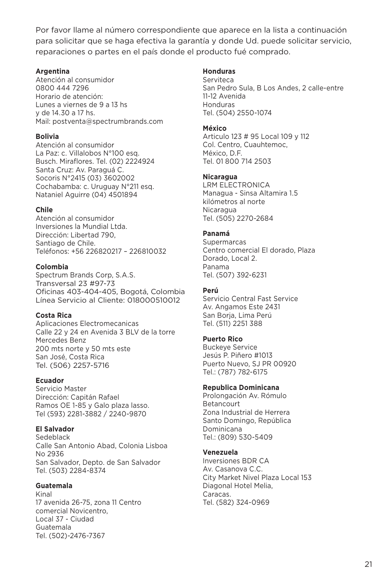Por favor llame al número correspondiente que aparece en la lista a continuación para solicitar que se haga efectiva la garantía y donde Ud. puede solicitar servicio, reparaciones o partes en el país donde el producto fué comprado.

#### **Argentina**

Atención al consumidor 0800 444 7296 Horario de atención: Lunes a viernes de 9 a 13 hs y de 14.30 a 17 hs. Mail: postventa@spectrumbrands.com

#### **Bolivia**

Atención al consumidor La Paz: c. Villalobos N°100 esq. Busch. Miraflores. Tel. (02) 2224924 Santa Cruz: Av. Paraguá C. Socoris N°2415 (03) 3602002 Cochabamba: c. Uruguay N°211 esq. Nataniel Aguirre (04) 4501894

#### **Chile**

Atención al consumidor Inversiones la Mundial Ltda. Dirección: Libertad 790, Santiago de Chile. Teléfonos: +56 226820217 – 226810032

#### **Colombia**

Spectrum Brands Corp, S.A.S. Transversal 23 #97-73 Oficinas 403-404-405, Bogotá, Colombia Línea Servicio al Cliente: 018000510012

#### **Costa Rica**

Aplicaciones Electromecanicas Calle 22 y 24 en Avenida 3 BLV de la torre Mercedes Benz 200 mts norte y 50 mts este San José, Costa Rica Tel. (506) 2257-5716

#### **Ecuador**

Servicio Master Dirección: Capitán Rafael Ramos OE 1-85 y Galo plaza lasso. Tel (593) 2281-3882 / 2240-9870

#### **El Salvador**

Sedeblack Calle San Antonio Abad, Colonia Lisboa No 2936 San Salvador, Depto. de San Salvador Tel. (503) 2284-8374

#### **Guatemala**

Kinal 17 avenida 26-75, zona 11 Centro comercial Novicentro, Local 37 - Ciudad Guatemala Tel. (502)-2476-7367

#### **Honduras**

Serviteca San Pedro Sula, B Los Andes, 2 calle-entre 11-12 Avenida Honduras Tel. (504) 2550-1074

#### **México**

Articulo 123 # 95 Local 109 y 112 Col. Centro, Cuauhtemoc, México, D.F. Tel. 01 800 714 2503

#### **Nicaragua**

LRM ELECTRONICA Managua - Sinsa Altamira 1.5 kilómetros al norte **Nicaragua** Tel. (505) 2270-2684

#### **Panamá**

Supermarcas Centro comercial El dorado, Plaza Dorado, Local 2. Panama Tel. (507) 392-6231

#### **Perú**

Servicio Central Fast Service Av. Angamos Este 2431 San Borja, Lima Perú Tel. (511) 2251 388

#### **Puerto Rico**

Buckeye Service Jesús P. Piñero #1013 Puerto Nuevo, SJ PR 00920 Tel.: (787) 782-6175

#### **Republica Dominicana**

Prolongación Av. Rómulo Betancourt Zona Industrial de Herrera Santo Domingo, República Dominicana Tel.: (809) 530-5409

#### **Venezuela**

Inversiones BDR CA Av. Casanova C.C. City Market Nivel Plaza Local 153 Diagonal Hotel Melia, Caracas. Tel. (582) 324-0969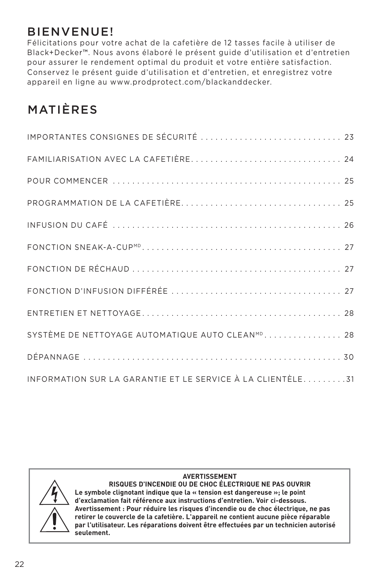### BIENVENUE!

Félicitations pour votre achat de la cafetière de 12 tasses facile à utiliser de Black+Decker™. Nous avons élaboré le présent guide d'utilisation et d'entretien pour assurer le rendement optimal du produit et votre entière satisfaction. Conservez le présent guide d'utilisation et d'entretien, et enregistrez votre appareil en ligne au www.prodprotect.com/blackanddecker.

### MATIÈRES

| IMPORTANTES CONSIGNES DE SÉCURITÉ  23                        |
|--------------------------------------------------------------|
|                                                              |
|                                                              |
|                                                              |
|                                                              |
|                                                              |
|                                                              |
|                                                              |
|                                                              |
| SYSTÈME DE NETTOYAGE AUTOMATIQUE AUTO CLEAN <sup>MD</sup> 28 |
|                                                              |
| INFORMATION SUR LA GARANTIE ET LE SERVICE À LA CLIENTÈLE31   |



#### **AVERTISSEMENT**

**RISQUES D'INCENDIE OU DE CHOC ÉLECTRIQUE NE PAS OUVRIR Le symbole clignotant indique que la « tension est dangereuse »; le point d'exclamation fait référence aux instructions d'entretien. Voir ci-dessous. Avertissement : Pour réduire les risques d'incendie ou de choc électrique, ne pas retirer le couvercle de la cafetière. L'appareil ne contient aucune pièce réparable par l'utilisateur. Les réparations doivent être effectuées par un technicien autorisé seulement.**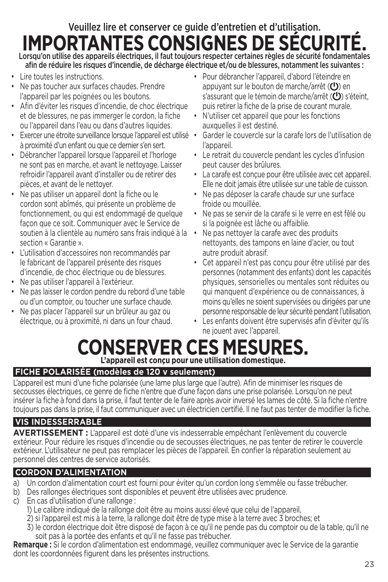## Veuillez lire et conserver ce guide d'entretien et d'utilisation. **IMPORTANTES CONSIGNES DE SÉCURI**

Lorsqu'on utilise des appareils électriques, il faut toujours respecter certaines règles de sécurité fondamentales afin de réduire les risques d'incendie, de décharge électrique et/ou de blessures, notamment les suivantes :

- Lire toutes les instructions.
- Ne pas toucher aux surfaces chaudes. Prendre l'appareil par les poignées ou les boutons.
- Afin d'éviter les risques d'incendie, de choc électrique et de blessures, ne pas immerger le cordon, la fiche ou l'appareil dans l'eau ou dans d'autres liquides.
- Exercer une étroite surveillance lorsque l'appareil est utilisé à proximité d'un enfant ou que ce dernier s'en sert.
- Débrancher l'appareil lorsque l'appareil et l'horloge ne sont pas en marche, et avant le nettoyage. Laisser refroidir l'appareil avant d'installer ou de retirer des pièces, et avant de le nettoyer.
- Ne pas utiliser un appareil dont la fiche ou le cordon sont abîmés, qui présente un problème de fonctionnement, ou qui est endommagé de quelque façon que ce soit. Communiquer avec le Service de soutien à la clientèle au numéro sans frais indiqué à la section « Garantie ».
- L'utilisation d'accessoires non recommandés par le fabricant de l'appareil présente des risques d'incendie, de choc électrique ou de blessures.
- Ne pas utiliser l'appareil à l'extérieur.
- Ne pas laisser le cordon pendre du rebord d'une table ou d'un comptoir, ou toucher une surface chaude.
- Ne pas placer l'appareil sur un brûleur au gaz ou électrique, ou à proximité, ni dans un four chaud.
- Pour débrancher l'appareil, d'abord l'éteindre en appuyant sur le bouton de marche/arrêt  $\left( \bigcup \right)$  en s'assurant que le témoin de marche/arrêt  $(U)$  s'éteint, puis retirer la fiche de la prise de courant murale.
- N'utiliser cet appareil que pour les fonctions auxquelles il est destiné.
- Garder le couvercle sur la carafe lors de l'utilisation de l'appareil.
- Le retrait du couvercle pendant les cycles d'infusion peut causer des brûlures.
- La carafe est conçue pour être utilisée avec cet appareil. Elle ne doit jamais être utilisée sur une table de cuisson.
- Ne pas déposer la carafe chaude sur une surface froide ou mouillée.
- Ne pas se servir de la carafe si le verre en est fêlé ou si la poignée est lâche ou affaiblie.
- Ne pas nettoyer la carafe avec des produits nettoyants, des tampons en laine d'acier, ou tout autre produit abrasif.
- Cet appareil n'est pas concu pour être utilisé par des personnes (notamment des enfants) dont les capacités physiques, sensorielles ou mentales sont réduites ou qui manquent d'expérience ou de connaissances, à moins qu'elles ne soient supervisées ou dirigées par une personne responsable de leur sécurité pendant l'utilisation.
- Les enfants doivent être supervisés afin d'éviter qu'ils ne jouent avec l'appareil.

### **CONSERVER CES MESURES L'appareil est conçu pour une utilisation domestique.**

#### **FICHE POLARISÉE (modèles de 120 v seulement)**

L'appareil est muni d'une fiche polarisée (une lame plus large que l'autre). Afin de minimiser les risques de secousses électriques, ce genre de fiche n'entre que d'une façon dans une prise polarisée. Lorsqu'on ne peut insérer la fiche à fond dans la prise, il faut tenter de le faire après avoir inversé les lames de côté. Si la fiche n'entre toujours pas dans la prise, il faut communiquer avec un électricien certifié. Il ne faut pas tenter de modifier la fiche.

#### **VIS INDESSERRABLE**

**AVERTISSEMENT :** L'appareil est doté d'une vis indesserrable empêchant l'enlèvement du couvercle extérieur. Pour réduire les risques d'incendie ou de secousses électriques, ne pas tenter de retirer le couvercle extérieur. L'utilisateur ne peut pas remplacer les pièces de l'appareil. En confier la réparation seulement au personnel des centres de service autorisés.

#### **CORDON D'ALIMENTATION**

- a) Un cordon d'alimentation court est fourni pour éviter qu'un cordon long s'emmêle ou fasse trébucher.
- b) Des rallonges électriques sont disponibles et peuvent être utilisées avec prudence.
- c) En cas d'utilisation d'une rallonge :
	- 1) Le calibre indiqué de la rallonge doit être au moins aussi élevé que celui de l'appareil,
	- 2) si l'appareil est mis à la terre, la rallonge doit être de type mise à la terre avec 3 broches; et
	- 3) le cordon électrique doit être disposé de façon à ce qu'il ne pende pas du comptoir ou de la table, qu'il ne soit pas à la portée des enfants et qu'il ne fasse pas trébucher.

**Remarque :** Si le cordon d'alimentation est endommagé, veuillez communiquer avec le Service de la garantie dont les coordonnées figurent dans les présentes instructions.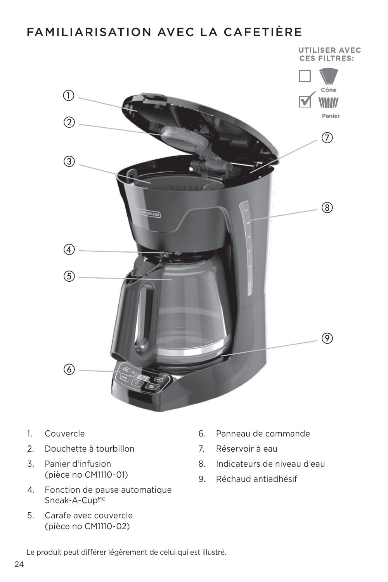### FAMILIARISATION AVEC LA CAFETIÈRE



- 1. Couvercle
- 2. Douchette à tourbillon
- 3. Panier d'infusion (pièce no CM1110-01)
- 4. Fonction de pause automatique Sneak-A-CupMC
- 5. Carafe avec couvercle (pièce no CM1110-02)
- 6. Panneau de commande
- 7. Réservoir à eau
- 8. Indicateurs de niveau d'eau
- 9. Réchaud antiadhésif

Le produit peut différer légèrement de celui qui est illustré.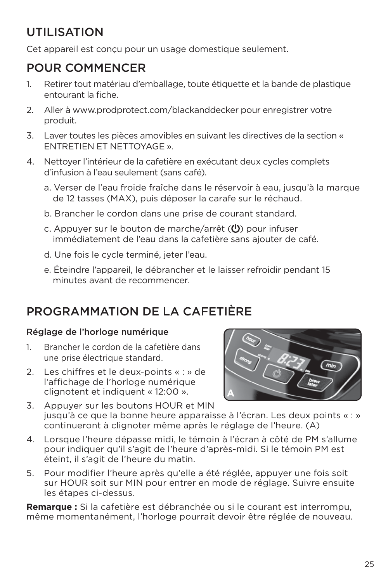### UTILISATION

Cet appareil est conçu pour un usage domestique seulement.

### POUR COMMENCER

- 1. Retirer tout matériau d'emballage, toute étiquette et la bande de plastique entourant la fiche.
- 2. Aller à www.prodprotect.com/blackanddecker pour enregistrer votre produit.
- 3. Laver toutes les pièces amovibles en suivant les directives de la section « ENTRETIEN ET NETTOYAGE ».
- 4. Nettoyer l'intérieur de la cafetière en exécutant deux cycles complets d'infusion à l'eau seulement (sans café).
	- a. Verser de l'eau froide fraîche dans le réservoir à eau, jusqu'à la marque de 12 tasses (MAX), puis déposer la carafe sur le réchaud.
	- b. Brancher le cordon dans une prise de courant standard.
	- c. Appuyer sur le bouton de marche/arrêt  $\left(\bigcup_{n=1}^{\infty} a_n\right)$  pour infuser immédiatement de l'eau dans la cafetière sans ajouter de café.
	- d. Une fois le cycle terminé, jeter l'eau.
	- e. Éteindre l'appareil, le débrancher et le laisser refroidir pendant 15 minutes avant de recommencer.

### PROGRAMMATION DE LA CAFETIÈRE

#### Réglage de l'horloge numérique

- 1. Brancher le cordon de la cafetière dans une prise électrique standard.
- 2. Les chiffres et le deux-points « : » de l'affichage de l'horloge numérique clignotent et indiquent « 12:00 ».



- 3. Appuyer sur les boutons HOUR et MIN jusqu'à ce que la bonne heure apparaisse à l'écran. Les deux points « : » continueront à clignoter même après le réglage de l'heure. (A)
- 4. Lorsque l'heure dépasse midi, le témoin à l'écran à côté de PM s'allume pour indiquer qu'il s'agit de l'heure d'après-midi. Si le témoin PM est éteint, il s'agit de l'heure du matin.
- 5. Pour modifier l'heure après qu'elle a été réglée, appuyer une fois soit sur HOUR soit sur MIN pour entrer en mode de réglage. Suivre ensuite les étapes ci-dessus.

**Remarque :** Si la cafetière est débranchée ou si le courant est interrompu, même momentanément, l'horloge pourrait devoir être réglée de nouveau.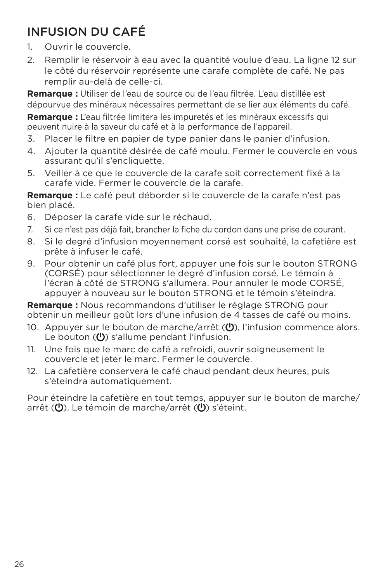### INFUSION DU CAFÉ

- 1. Ouvrir le couvercle.
- 2. Remplir le réservoir à eau avec la quantité voulue d'eau. La ligne 12 sur le côté du réservoir représente une carafe complète de café. Ne pas remplir au-delà de celle-ci.

**Remarque :** Utiliser de l'eau de source ou de l'eau filtrée. L'eau distillée est dépourvue des minéraux nécessaires permettant de se lier aux éléments du café.

**Remarque :** L'eau filtrée limitera les impuretés et les minéraux excessifs qui peuvent nuire à la saveur du café et à la performance de l'appareil.

- 3. Placer le filtre en papier de type panier dans le panier d'infusion.
- 4. Ajouter la quantité désirée de café moulu. Fermer le couvercle en vous assurant qu'il s'encliquette.
- 5. Veiller à ce que le couvercle de la carafe soit correctement fixé à la carafe vide. Fermer le couvercle de la carafe.

**Remarque :** Le café peut déborder si le couvercle de la carafe n'est pas bien placé.

- 6. Déposer la carafe vide sur le réchaud.
- 7. Si ce n'est pas déjà fait, brancher la fiche du cordon dans une prise de courant.
- 8. Si le degré d'infusion moyennement corsé est souhaité, la cafetière est prête à infuser le café.
- 9. Pour obtenir un café plus fort, appuyer une fois sur le bouton STRONG (CORSÉ) pour sélectionner le degré d'infusion corsé. Le témoin à l'écran à côté de STRONG s'allumera. Pour annuler le mode CORSÉ, appuyer à nouveau sur le bouton STRONG et le témoin s'éteindra.

**Remarque :** Nous recommandons d'utiliser le réglage STRONG pour obtenir un meilleur goût lors d'une infusion de 4 tasses de café ou moins.

- 10. Appuyer sur le bouton de marche/arrêt ((<sup>1</sup>)), l'infusion commence alors. Le bouton  $(U)$  s'allume pendant l'infusion.
- 11. Une fois que le marc de café a refroidi, ouvrir soigneusement le couvercle et jeter le marc. Fermer le couvercle.
- 12. La cafetière conservera le café chaud pendant deux heures, puis s'éteindra automatiquement.

Pour éteindre la cafetière en tout temps, appuyer sur le bouton de marche/ arrêt ( $\bigcup$ ). Le témoin de marche/arrêt ( $\bigcup$ ) s'éteint.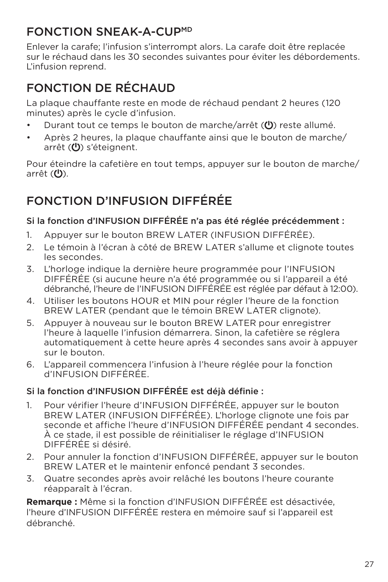### FONCTION SNEAK-A-CUPMD

Enlever la carafe; l'infusion s'interrompt alors. La carafe doit être replacée sur le réchaud dans les 30 secondes suivantes pour éviter les débordements. L'infusion reprend.

### FONCTION DE RÉCHAUD

La plaque chauffante reste en mode de réchaud pendant 2 heures (120 minutes) après le cycle d'infusion.

- Durant tout ce temps le bouton de marche/arrêt (U) reste allumé.
- Après 2 heures, la plaque chauffante ainsi que le bouton de marche/ arrêt  $(U)$  s'éteignent.

Pour éteindre la cafetière en tout temps, appuyer sur le bouton de marche/ arrêt  $(U)$ .

### FONCTION D'INFUSION DIFFÉRÉE

#### Si la fonction d'INFUSION DIFFÉRÉE n'a pas été réglée précédemment :

- 1. Appuyer sur le bouton BREW LATER (INFUSION DIFFÉRÉE).
- 2. Le témoin à l'écran à côté de BREW LATER s'allume et clignote toutes les secondes.
- 3. L'horloge indique la dernière heure programmée pour l'INFUSION DIFFÉRÉE (si aucune heure n'a été programmée ou si l'appareil a été débranché, l'heure de l'INFUSION DIFFÉRÉE est réglée par défaut à 12:00).
- 4. Utiliser les boutons HOUR et MIN pour régler l'heure de la fonction BREW LATER (pendant que le témoin BREW LATER clignote).
- 5. Appuyer à nouveau sur le bouton BREW LATER pour enregistrer l'heure à laquelle l'infusion démarrera. Sinon, la cafetière se réglera automatiquement à cette heure après 4 secondes sans avoir à appuyer sur le bouton.
- 6. L'appareil commencera l'infusion à l'heure réglée pour la fonction d'INFUSION DIFFÉRÉE.

#### Si la fonction d'INFUSION DIFFÉRÉE est déjà définie :

- 1. Pour vérifier l'heure d'INFUSION DIFFÉRÉE, appuyer sur le bouton BREW LATER (INFUSION DIFFÉRÉE). L'horloge clignote une fois par seconde et affiche l'heure d'INFUSION DIFFÉRÉE pendant 4 secondes. À ce stade, il est possible de réinitialiser le réglage d'INFUSION DIFFÉRÉE si désiré.
- 2. Pour annuler la fonction d'INFUSION DIFFÉRÉE, appuyer sur le bouton BREW LATER et le maintenir enfoncé pendant 3 secondes.
- 3. Quatre secondes après avoir relâché les boutons l'heure courante réapparaît à l'écran.

**Remarque :** Même si la fonction d'INFUSION DIFFÉRÉE est désactivée, l'heure d'INFUSION DIFFÉRÉE restera en mémoire sauf si l'appareil est débranché.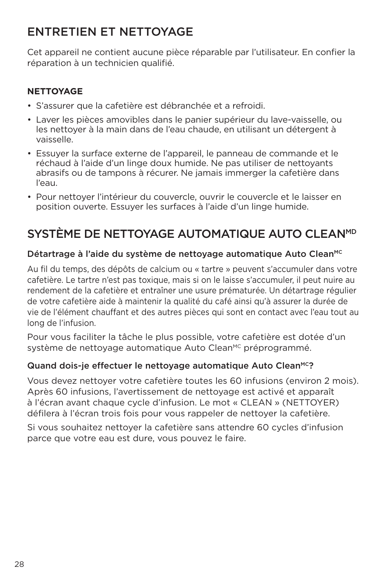### ENTRETIEN ET NETTOYAGE

Cet appareil ne contient aucune pièce réparable par l'utilisateur. En confier la réparation à un technicien qualifié.

#### **NETTOYAGE**

- S'assurer que la cafetière est débranchée et a refroidi.
- Laver les pièces amovibles dans le panier supérieur du lave-vaisselle, ou les nettoyer à la main dans de l'eau chaude, en utilisant un détergent à vaisselle.
- Essuyer la surface externe de l'appareil, le panneau de commande et le réchaud à l'aide d'un linge doux humide. Ne pas utiliser de nettoyants abrasifs ou de tampons à récurer. Ne jamais immerger la cafetière dans l'eau.
- Pour nettoyer l'intérieur du couvercle, ouvrir le couvercle et le laisser en position ouverte. Essuyer les surfaces à l'aide d'un linge humide.

### SYSTÈME DE NETTOYAGE AUTOMATIQUE AUTO CLEANMD

#### Détartrage à l'aide du système de nettoyage automatique Auto Clean<sup>MC</sup>

Au fil du temps, des dépôts de calcium ou « tartre » peuvent s'accumuler dans votre cafetière. Le tartre n'est pas toxique, mais si on le laisse s'accumuler, il peut nuire au rendement de la cafetière et entraîner une usure prématurée. Un détartrage régulier de votre cafetière aide à maintenir la qualité du café ainsi qu'à assurer la durée de vie de l'élément chauffant et des autres pièces qui sont en contact avec l'eau tout au long de l'infusion.

Pour vous faciliter la tâche le plus possible, votre cafetière est dotée d'un système de nettoyage automatique Auto Clean<sup>MC</sup> préprogrammé.

#### Quand dois-je effectuer le nettovage automatique Auto Clean<sup>MC</sup>?

Vous devez nettoyer votre cafetière toutes les 60 infusions (environ 2 mois). Après 60 infusions, l'avertissement de nettoyage est activé et apparaît à l'écran avant chaque cycle d'infusion. Le mot « CLEAN » (NETTOYER) défilera à l'écran trois fois pour vous rappeler de nettoyer la cafetière.

Si vous souhaitez nettoyer la cafetière sans attendre 60 cycles d'infusion parce que votre eau est dure, vous pouvez le faire.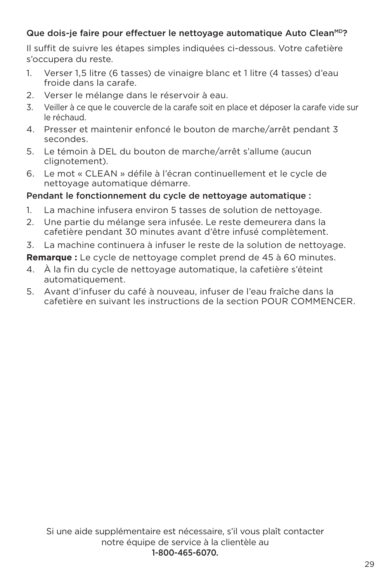#### Que dois-je faire pour effectuer le nettovage automatique Auto CleanMD?

Il suffit de suivre les étapes simples indiquées ci-dessous. Votre cafetière s'occupera du reste.

- 1. Verser 1,5 litre (6 tasses) de vinaigre blanc et 1 litre (4 tasses) d'eau froide dans la carafe.
- 2. Verser le mélange dans le réservoir à eau.
- 3. Veiller à ce que le couvercle de la carafe soit en place et déposer la carafe vide sur le réchaud.
- 4. Presser et maintenir enfoncé le bouton de marche/arrêt pendant 3 secondes.
- 5. Le témoin à DEL du bouton de marche/arrêt s'allume (aucun clignotement).
- 6. Le mot « CLEAN » défile à l'écran continuellement et le cycle de nettoyage automatique démarre.

#### Pendant le fonctionnement du cycle de nettoyage automatique :

- 1. La machine infusera environ 5 tasses de solution de nettoyage.
- 2. Une partie du mélange sera infusée. Le reste demeurera dans la cafetière pendant 30 minutes avant d'être infusé complètement.
- 3. La machine continuera à infuser le reste de la solution de nettoyage.

**Remarque :** Le cycle de nettoyage complet prend de 45 à 60 minutes.

- 4. À la fin du cycle de nettoyage automatique, la cafetière s'éteint automatiquement.
- 5. Avant d'infuser du café à nouveau, infuser de l'eau fraîche dans la cafetière en suivant les instructions de la section POUR COMMENCER.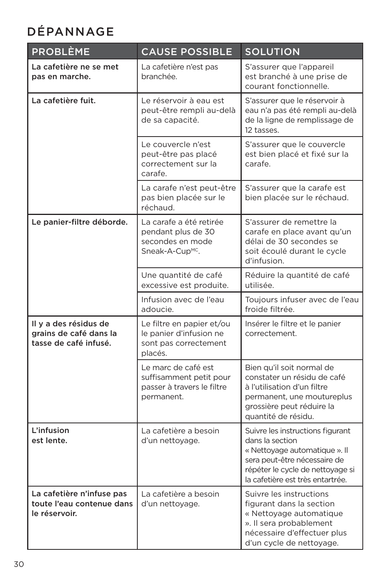### DÉPANNAGE

| <b>PROBLÈME</b>                                                          | <b>CAUSE POSSIBLE</b>                                                                            | <b>SOLUTION</b>                                                                                                                                                                              |
|--------------------------------------------------------------------------|--------------------------------------------------------------------------------------------------|----------------------------------------------------------------------------------------------------------------------------------------------------------------------------------------------|
| La cafetière ne se met<br>pas en marche.                                 | La cafetière n'est pas<br>branchée.                                                              | S'assurer que l'appareil<br>est branché à une prise de<br>courant fonctionnelle.                                                                                                             |
| La cafetière fuit.                                                       | Le réservoir à eau est<br>peut-être rempli au-delà<br>de sa capacité.                            | S'assurer que le réservoir à<br>eau n'a pas été rempli au-delà<br>de la ligne de remplissage de<br>12 tasses.                                                                                |
|                                                                          | Le couvercle n'est<br>peut-être pas placé<br>correctement sur la<br>carafe.                      | S'assurer que le couvercle<br>est bien placé et fixé sur la<br>carafe.                                                                                                                       |
|                                                                          | La carafe n'est peut-être<br>pas bien placée sur le<br>réchaud.                                  | S'assurer que la carafe est<br>bien placée sur le réchaud.                                                                                                                                   |
| Le panier-filtre déborde.                                                | La carafe a été retirée<br>pendant plus de 30<br>secondes en mode<br>Sneak-A-Cup <sup>MC</sup> . | S'assurer de remettre la<br>carafe en place avant qu'un<br>délai de 30 secondes se<br>soit écoulé durant le cycle<br>d'infusion.                                                             |
|                                                                          | Une quantité de café<br>excessive est produite.                                                  | Réduire la quantité de café<br>utilisée.                                                                                                                                                     |
|                                                                          | Infusion avec de l'eau<br>adoucie.                                                               | Toujours infuser avec de l'eau<br>froide filtrée.                                                                                                                                            |
| Il y a des résidus de<br>grains de café dans la<br>tasse de café infusé. | Le filtre en papier et/ou<br>le panier d'infusion ne<br>sont pas correctement<br>placés.         | Insérer le filtre et le panier<br>correctement.                                                                                                                                              |
|                                                                          | Le marc de café est<br>suffisamment petit pour<br>passer à travers le filtre<br>permanent.       | Bien qu'il soit normal de<br>constater un résidu de café<br>à l'utilisation d'un filtre<br>permanent, une moutureplus<br>grossière peut réduire la<br>quantité de résidu.                    |
| L'infusion<br>est lente.                                                 | La cafetière a besoin<br>d'un nettoyage.                                                         | Suivre les instructions figurant<br>dans la section<br>« Nettoyage automatique ». Il<br>sera peut-être nécessaire de<br>répéter le cycle de nettoyage si<br>la cafetière est très entartrée. |
| La cafetière n'infuse pas<br>toute l'eau contenue dans<br>le réservoir.  | La cafetière a besoin<br>d'un nettoyage.                                                         | Suivre les instructions<br>figurant dans la section<br>« Nettoyage automatique<br>». Il sera probablement<br>nécessaire d'effectuer plus<br>d'un cycle de nettoyage.                         |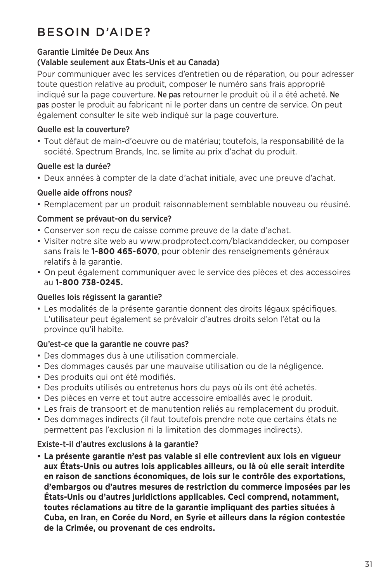### BESOIN D'AIDE?

#### Garantie Limitée De Deux Ans

#### (Valable seulement aux États-Unis et au Canada)

Pour communiquer avec les services d'entretien ou de réparation, ou pour adresser toute question relative au produit, composer le numéro sans frais approprié indiqué sur la page couverture. Ne pas retourner le produit où il a été acheté. Ne pas poster le produit au fabricant ni le porter dans un centre de service. On peut également consulter le site web indiqué sur la page couverture.

#### Quelle est la couverture?

• Tout défaut de main-d'oeuvre ou de matériau; toutefois, la responsabilité de la société. Spectrum Brands, Inc. se limite au prix d'achat du produit.

#### Quelle est la durée?

• Deux années à compter de la date d'achat initiale, avec une preuve d'achat.

#### Quelle aide offrons nous?

• Remplacement par un produit raisonnablement semblable nouveau ou réusiné.

#### Comment se prévaut-on du service?

- Conserver son reçu de caisse comme preuve de la date d'achat.
- Visiter notre site web au www.prodprotect.com/blackanddecker, ou composer sans frais le **1-800 465-6070**, pour obtenir des renseignements généraux relatifs à la garantie.
- On peut également communiquer avec le service des pièces et des accessoires au **1-800 738-0245.**

#### Quelles lois régissent la garantie?

• Les modalités de la présente garantie donnent des droits légaux spécifiques. L'utilisateur peut également se prévaloir d'autres droits selon l'état ou la province qu'il habite.

#### Qu'est-ce que la garantie ne couvre pas?

- Des dommages dus à une utilisation commerciale.
- Des dommages causés par une mauvaise utilisation ou de la négligence.
- Des produits qui ont été modifiés.
- Des produits utilisés ou entretenus hors du pays où ils ont été achetés.
- Des pièces en verre et tout autre accessoire emballés avec le produit.
- Les frais de transport et de manutention reliés au remplacement du produit.
- Des dommages indirects (il faut toutefois prendre note que certains états ne permettent pas l'exclusion ni la limitation des dommages indirects).

#### Existe-t-il d'autres exclusions à la garantie?

**• La présente garantie n'est pas valable si elle contrevient aux lois en vigueur aux États-Unis ou autres lois applicables ailleurs, ou là où elle serait interdite en raison de sanctions économiques, de lois sur le contrôle des exportations, d'embargos ou d'autres mesures de restriction du commerce imposées par les États-Unis ou d'autres juridictions applicables. Ceci comprend, notamment, toutes réclamations au titre de la garantie impliquant des parties situées à Cuba, en Iran, en Corée du Nord, en Syrie et ailleurs dans la région contestée de la Crimée, ou provenant de ces endroits.**